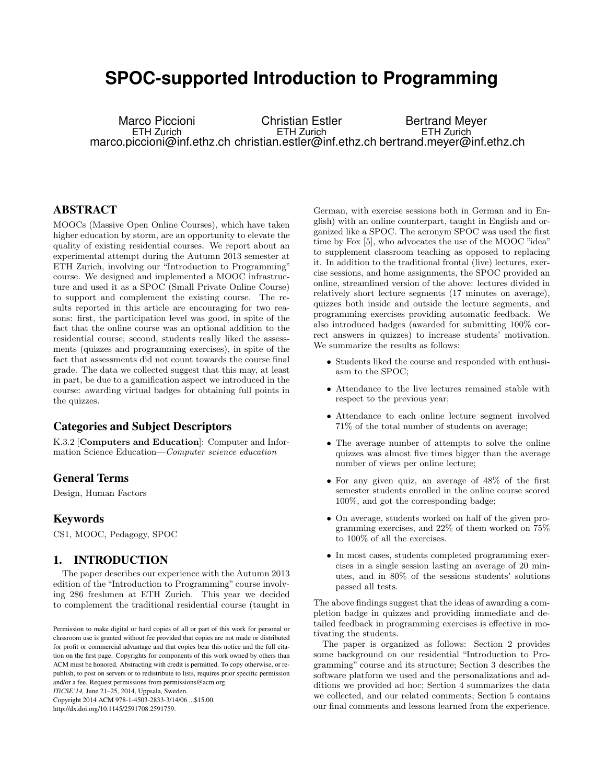# **SPOC-supported Introduction to Programming**

Marco Piccioni ETH Zurich marco.piccioni@inf.ethz.ch christian.estler@inf.ethz.ch bertrand.meyer@inf.ethz.ch Christian Estler ETH Zurich Bertrand Meyer ETH Zurich

# ABSTRACT

MOOCs (Massive Open Online Courses), which have taken higher education by storm, are an opportunity to elevate the quality of existing residential courses. We report about an experimental attempt during the Autumn 2013 semester at ETH Zurich, involving our "Introduction to Programming" course. We designed and implemented a MOOC infrastructure and used it as a SPOC (Small Private Online Course) to support and complement the existing course. The results reported in this article are encouraging for two reasons: first, the participation level was good, in spite of the fact that the online course was an optional addition to the residential course; second, students really liked the assessments (quizzes and programming exercises), in spite of the fact that assessments did not count towards the course final grade. The data we collected suggest that this may, at least in part, be due to a gamification aspect we introduced in the course: awarding virtual badges for obtaining full points in the quizzes.

## Categories and Subject Descriptors

K.3.2 [Computers and Education]: Computer and Information Science Education—Computer science education

### General Terms

Design, Human Factors

#### Keywords

CS1, MOOC, Pedagogy, SPOC

# 1. INTRODUCTION

The paper describes our experience with the Autumn 2013 edition of the "Introduction to Programming" course involving 286 freshmen at ETH Zurich. This year we decided to complement the traditional residential course (taught in

*ITiCSE'14,* June 21–25, 2014, Uppsala, Sweden.

Copyright 2014 ACM 978-1-4503-2833-3/14/06 ...\$15.00. http://dx.doi.org/10.1145/2591708.2591759.

German, with exercise sessions both in German and in English) with an online counterpart, taught in English and organized like a SPOC. The acronym SPOC was used the first time by Fox [5], who advocates the use of the MOOC "idea" to supplement classroom teaching as opposed to replacing it. In addition to the traditional frontal (live) lectures, exercise sessions, and home assignments, the SPOC provided an online, streamlined version of the above: lectures divided in relatively short lecture segments (17 minutes on average), quizzes both inside and outside the lecture segments, and programming exercises providing automatic feedback. We also introduced badges (awarded for submitting 100% correct answers in quizzes) to increase students' motivation. We summarize the results as follows:

- Students liked the course and responded with enthusiasm to the SPOC;
- Attendance to the live lectures remained stable with respect to the previous year;
- Attendance to each online lecture segment involved 71% of the total number of students on average;
- The average number of attempts to solve the online quizzes was almost five times bigger than the average number of views per online lecture;
- For any given quiz, an average of 48% of the first semester students enrolled in the online course scored 100%, and got the corresponding badge;
- On average, students worked on half of the given programming exercises, and 22% of them worked on 75% to 100% of all the exercises.
- In most cases, students completed programming exercises in a single session lasting an average of 20 minutes, and in 80% of the sessions students' solutions passed all tests.

The above findings suggest that the ideas of awarding a completion badge in quizzes and providing immediate and detailed feedback in programming exercises is effective in motivating the students.

The paper is organized as follows: Section 2 provides some background on our residential "Introduction to Programming" course and its structure; Section 3 describes the software platform we used and the personalizations and additions we provided ad hoc; Section 4 summarizes the data we collected, and our related comments; Section 5 contains our final comments and lessons learned from the experience.

Permission to make digital or hard copies of all or part of this work for personal or classroom use is granted without fee provided that copies are not made or distributed for profit or commercial advantage and that copies bear this notice and the full citation on the first page. Copyrights for components of this work owned by others than ACM must be honored. Abstracting with credit is permitted. To copy otherwise, or republish, to post on servers or to redistribute to lists, requires prior specific permission and/or a fee. Request permissions from permissions@acm.org.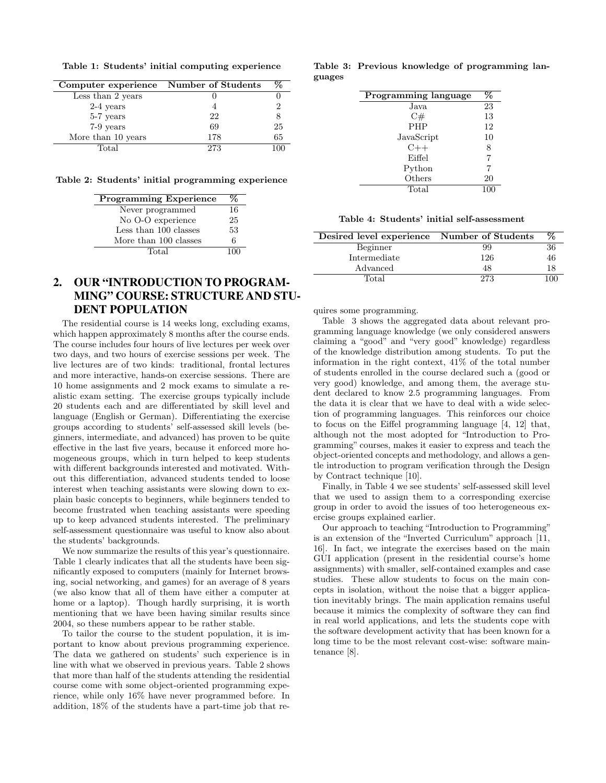Table 1: Students' initial computing experience

| Computer experience Number of Students |     | %  |
|----------------------------------------|-----|----|
| Less than 2 years                      |     |    |
| $2-4$ years                            |     | 2  |
| 5-7 years                              | 22  | 8  |
| 7-9 years                              | 69  | 25 |
| More than 10 years                     | 178 | 65 |
| Total                                  | 273 |    |
|                                        |     |    |

Table 2: Students' initial programming experience

| <b>Programming Experience</b> |    |
|-------------------------------|----|
| Never programmed              | 16 |
| No O-O experience             | 25 |
| Less than 100 classes         | 53 |
| More than 100 classes         | 6  |
| Total                         |    |

# 2. OUR "INTRODUCTION TO PROGRAM-MING" COURSE: STRUCTURE AND STU-DENT POPULATION

The residential course is 14 weeks long, excluding exams, which happen approximately 8 months after the course ends. The course includes four hours of live lectures per week over two days, and two hours of exercise sessions per week. The live lectures are of two kinds: traditional, frontal lectures and more interactive, hands-on exercise sessions. There are 10 home assignments and 2 mock exams to simulate a realistic exam setting. The exercise groups typically include 20 students each and are differentiated by skill level and language (English or German). Differentiating the exercise groups according to students' self-assessed skill levels (beginners, intermediate, and advanced) has proven to be quite effective in the last five years, because it enforced more homogeneous groups, which in turn helped to keep students with different backgrounds interested and motivated. Without this differentiation, advanced students tended to loose interest when teaching assistants were slowing down to explain basic concepts to beginners, while beginners tended to become frustrated when teaching assistants were speeding up to keep advanced students interested. The preliminary self-assessment questionnaire was useful to know also about the students' backgrounds.

We now summarize the results of this year's questionnaire. Table 1 clearly indicates that all the students have been significantly exposed to computers (mainly for Internet browsing, social networking, and games) for an average of 8 years (we also know that all of them have either a computer at home or a laptop). Though hardly surprising, it is worth mentioning that we have been having similar results since 2004, so these numbers appear to be rather stable.

To tailor the course to the student population, it is important to know about previous programming experience. The data we gathered on students' such experience is in line with what we observed in previous years. Table 2 shows that more than half of the students attending the residential course come with some object-oriented programming experience, while only 16% have never programmed before. In addition, 18% of the students have a part-time job that re-

Table 3: Previous knowledge of programming languages

| Programming language | $\bar{\mathcal{C}}_0$ |
|----------------------|-----------------------|
| Java                 | 23                    |
| C#                   | 13                    |
| <b>PHP</b>           | 12                    |
| JavaScript           | 10                    |
| $C++$                | 8                     |
| Eiffel               | 7                     |
| Python               | 7                     |
| Others               | 20                    |
| Total                | 100                   |

| Desired level experience Number of Students |     |     |
|---------------------------------------------|-----|-----|
| Beginner                                    | 99  | 36  |
| Intermediate                                | 126 | 46  |
| Advanced                                    | 48  |     |
| Total                                       | 273 | 100 |

quires some programming.

Table 3 shows the aggregated data about relevant programming language knowledge (we only considered answers claiming a "good" and "very good" knowledge) regardless of the knowledge distribution among students. To put the information in the right context, 41% of the total number of students enrolled in the course declared such a (good or very good) knowledge, and among them, the average student declared to know 2.5 programming languages. From the data it is clear that we have to deal with a wide selection of programming languages. This reinforces our choice to focus on the Eiffel programming language [4, 12] that, although not the most adopted for "Introduction to Programming" courses, makes it easier to express and teach the object-oriented concepts and methodology, and allows a gentle introduction to program verification through the Design by Contract technique [10].

Finally, in Table 4 we see students' self-assessed skill level that we used to assign them to a corresponding exercise group in order to avoid the issues of too heterogeneous exercise groups explained earlier.

Our approach to teaching "Introduction to Programming" is an extension of the "Inverted Curriculum" approach [11, 16]. In fact, we integrate the exercises based on the main GUI application (present in the residential course's home assignments) with smaller, self-contained examples and case studies. These allow students to focus on the main concepts in isolation, without the noise that a bigger application inevitably brings. The main application remains useful because it mimics the complexity of software they can find in real world applications, and lets the students cope with the software development activity that has been known for a long time to be the most relevant cost-wise: software maintenance [8].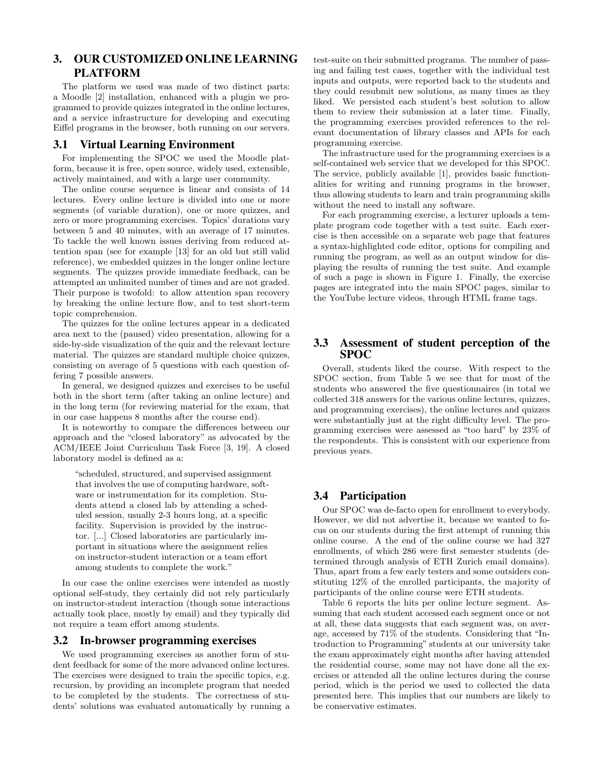# 3. OUR CUSTOMIZED ONLINE LEARNING PLATFORM

The platform we used was made of two distinct parts: a Moodle [2] installation, enhanced with a plugin we programmed to provide quizzes integrated in the online lectures, and a service infrastructure for developing and executing Eiffel programs in the browser, both running on our servers.

#### 3.1 Virtual Learning Environment

For implementing the SPOC we used the Moodle platform, because it is free, open source, widely used, extensible, actively maintained, and with a large user community.

The online course sequence is linear and consists of 14 lectures. Every online lecture is divided into one or more segments (of variable duration), one or more quizzes, and zero or more programming exercises. Topics' durations vary between 5 and 40 minutes, with an average of 17 minutes. To tackle the well known issues deriving from reduced attention span (see for example [13] for an old but still valid reference), we embedded quizzes in the longer online lecture segments. The quizzes provide immediate feedback, can be attempted an unlimited number of times and are not graded. Their purpose is twofold: to allow attention span recovery by breaking the online lecture flow, and to test short-term topic comprehension.

The quizzes for the online lectures appear in a dedicated area next to the (paused) video presentation, allowing for a side-by-side visualization of the quiz and the relevant lecture material. The quizzes are standard multiple choice quizzes, consisting on average of 5 questions with each question offering 7 possible answers.

In general, we designed quizzes and exercises to be useful both in the short term (after taking an online lecture) and in the long term (for reviewing material for the exam, that in our case happens 8 months after the course end).

It is noteworthy to compare the differences between our approach and the "closed laboratory" as advocated by the ACM/IEEE Joint Curriculum Task Force [3, 19]. A closed laboratory model is defined as a:

"scheduled, structured, and supervised assignment that involves the use of computing hardware, software or instrumentation for its completion. Students attend a closed lab by attending a scheduled session, usually 2-3 hours long, at a specific facility. Supervision is provided by the instructor. [...] Closed laboratories are particularly important in situations where the assignment relies on instructor-student interaction or a team effort among students to complete the work."

In our case the online exercises were intended as mostly optional self-study, they certainly did not rely particularly on instructor-student interaction (though some interactions actually took place, mostly by email) and they typically did not require a team effort among students.

#### 3.2 In-browser programming exercises

We used programming exercises as another form of student feedback for some of the more advanced online lectures. The exercises were designed to train the specific topics, e.g. recursion, by providing an incomplete program that needed to be completed by the students. The correctness of students' solutions was evaluated automatically by running a test-suite on their submitted programs. The number of passing and failing test cases, together with the individual test inputs and outputs, were reported back to the students and they could resubmit new solutions, as many times as they liked. We persisted each student's best solution to allow them to review their submission at a later time. Finally, the programming exercises provided references to the relevant documentation of library classes and APIs for each programming exercise.

The infrastructure used for the programming exercises is a self-contained web service that we developed for this SPOC. The service, publicly available [1], provides basic functionalities for writing and running programs in the browser, thus allowing students to learn and train programming skills without the need to install any software.

For each programming exercise, a lecturer uploads a template program code together with a test suite. Each exercise is then accessible on a separate web page that features a syntax-highlighted code editor, options for compiling and running the program, as well as an output window for displaying the results of running the test suite. And example of such a page is shown in Figure 1. Finally, the exercise pages are integrated into the main SPOC pages, similar to the YouTube lecture videos, through HTML frame tags.

#### 3.3 Assessment of student perception of the SPOC

Overall, students liked the course. With respect to the SPOC section, from Table 5 we see that for most of the students who answered the five questionnaires (in total we collected 318 answers for the various online lectures, quizzes, and programming exercises), the online lectures and quizzes were substantially just at the right difficulty level. The programming exercises were assessed as "too hard" by 23% of the respondents. This is consistent with our experience from previous years.

# 3.4 Participation

Our SPOC was de-facto open for enrollment to everybody. However, we did not advertise it, because we wanted to focus on our students during the first attempt of running this online course. A the end of the online course we had 327 enrollments, of which 286 were first semester students (determined through analysis of ETH Zurich email domains). Thus, apart from a few early testers and some outsiders constituting 12% of the enrolled participants, the majority of participants of the online course were ETH students.

Table 6 reports the hits per online lecture segment. Assuming that each student accessed each segment once or not at all, these data suggests that each segment was, on average, accessed by 71% of the students. Considering that "Introduction to Programming" students at our university take the exam approximately eight months after having attended the residential course, some may not have done all the exercises or attended all the online lectures during the course period, which is the period we used to collected the data presented here. This implies that our numbers are likely to be conservative estimates.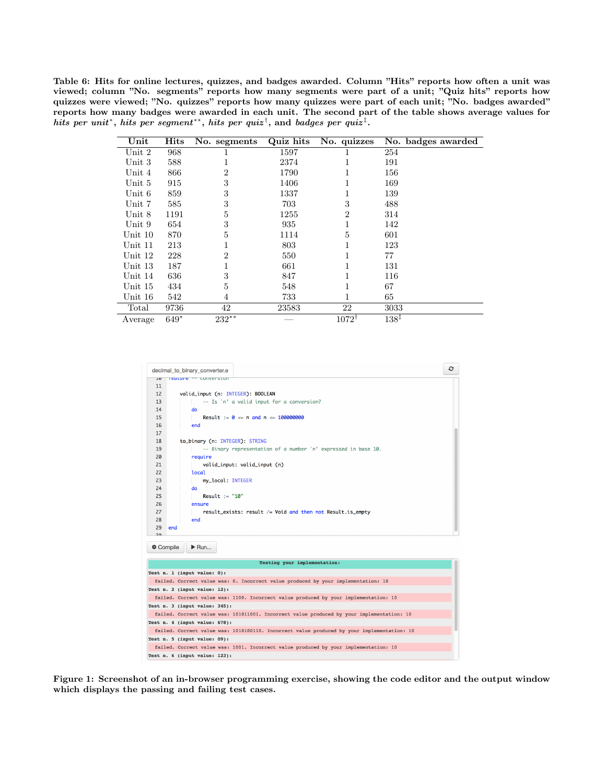Table 6: Hits for online lectures, quizzes, and badges awarded. Column "Hits" reports how often a unit was viewed; column "No. segments" reports how many segments were part of a unit; "Quiz hits" reports how quizzes were viewed; "No. quizzes" reports how many quizzes were part of each unit; "No. badges awarded" reports how many badges were awarded in each unit. The second part of the table shows average values for hits per unit\*, hits per segment\*\*, hits per quiz<sup>†</sup>, and badges per quiz<sup>‡</sup>.

| $\bold{Unit}$ | Hits   | No. segments   | Quiz hits | No. quizzes      | No. badges awarded |
|---------------|--------|----------------|-----------|------------------|--------------------|
| Unit 2        | 968    |                | 1597      |                  | 254                |
| Unit 3        | 588    |                | 2374      |                  | 191                |
| Unit 4        | 866    | $\overline{2}$ | 1790      |                  | 156                |
| Unit 5        | 915    | 3              | 1406      |                  | 169                |
| Unit 6        | 859    | 3              | 1337      |                  | 139                |
| Unit 7        | 585    | 3              | 703       | 3                | 488                |
| Unit 8        | 1191   | 5              | 1255      | 2                | 314                |
| Unit 9        | 654    | 3              | 935       |                  | 142                |
| Unit 10       | 870    | 5              | 1114      | 5                | 601                |
| Unit 11       | 213    |                | 803       |                  | 123                |
| Unit 12       | 228    | 2              | 550       |                  | 77                 |
| Unit 13       | 187    |                | 661       |                  | 131                |
| Unit 14       | 636    | 3              | 847       |                  | 116                |
| Unit 15       | 434    | 5              | 548       |                  | 67                 |
| Unit 16       | 542    | 4              | 733       |                  | 65                 |
| Total         | 9736   | 42             | 23583     | 22               | 3033               |
| Average       | $649*$ | $232**$        |           | $1072^{\dagger}$ | $138^{1}$          |



Figure 1: Screenshot of an in-browser programming exercise, showing the code editor and the output window which displays the passing and failing test cases.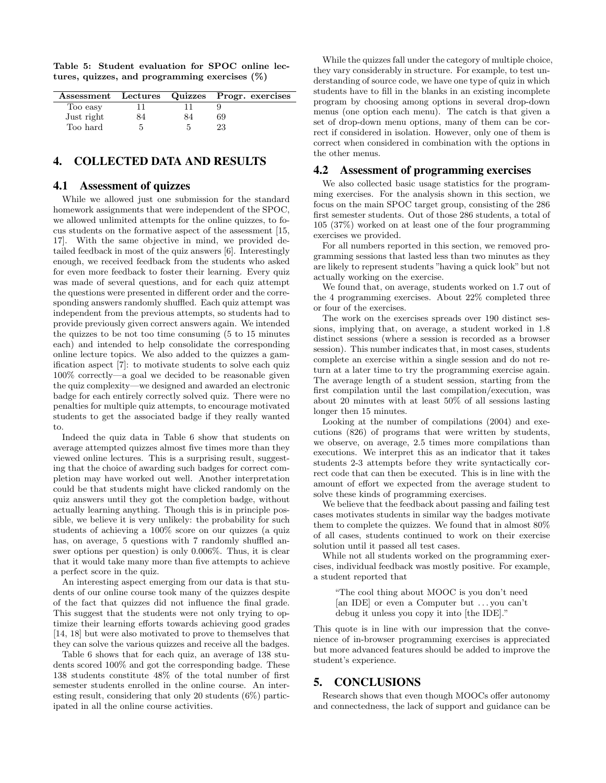Table 5: Student evaluation for SPOC online lectures, quizzes, and programming exercises (%)

|            |    | Assessment Lectures Quizzes Progr. exercises |
|------------|----|----------------------------------------------|
| Too easy   |    |                                              |
| Just right | 34 | 69                                           |
| Too hard   |    | 23                                           |

#### 4. COLLECTED DATA AND RESULTS

#### 4.1 Assessment of quizzes

While we allowed just one submission for the standard homework assignments that were independent of the SPOC, we allowed unlimited attempts for the online quizzes, to focus students on the formative aspect of the assessment [15, 17]. With the same objective in mind, we provided detailed feedback in most of the quiz answers [6]. Interestingly enough, we received feedback from the students who asked for even more feedback to foster their learning. Every quiz was made of several questions, and for each quiz attempt the questions were presented in different order and the corresponding answers randomly shuffled. Each quiz attempt was independent from the previous attempts, so students had to provide previously given correct answers again. We intended the quizzes to be not too time consuming (5 to 15 minutes each) and intended to help consolidate the corresponding online lecture topics. We also added to the quizzes a gamification aspect [7]: to motivate students to solve each quiz 100% correctly—a goal we decided to be reasonable given the quiz complexity—we designed and awarded an electronic badge for each entirely correctly solved quiz. There were no penalties for multiple quiz attempts, to encourage motivated students to get the associated badge if they really wanted to.

Indeed the quiz data in Table 6 show that students on average attempted quizzes almost five times more than they viewed online lectures. This is a surprising result, suggesting that the choice of awarding such badges for correct completion may have worked out well. Another interpretation could be that students might have clicked randomly on the quiz answers until they got the completion badge, without actually learning anything. Though this is in principle possible, we believe it is very unlikely: the probability for such students of achieving a 100% score on our quizzes (a quiz has, on average, 5 questions with 7 randomly shuffled answer options per question) is only 0.006%. Thus, it is clear that it would take many more than five attempts to achieve a perfect score in the quiz.

An interesting aspect emerging from our data is that students of our online course took many of the quizzes despite of the fact that quizzes did not influence the final grade. This suggest that the students were not only trying to optimize their learning efforts towards achieving good grades [14, 18] but were also motivated to prove to themselves that they can solve the various quizzes and receive all the badges.

Table 6 shows that for each quiz, an average of 138 students scored 100% and got the corresponding badge. These 138 students constitute 48% of the total number of first semester students enrolled in the online course. An interesting result, considering that only 20 students (6%) participated in all the online course activities.

While the quizzes fall under the category of multiple choice, they vary considerably in structure. For example, to test understanding of source code, we have one type of quiz in which students have to fill in the blanks in an existing incomplete program by choosing among options in several drop-down menus (one option each menu). The catch is that given a set of drop-down menu options, many of them can be correct if considered in isolation. However, only one of them is correct when considered in combination with the options in the other menus.

#### 4.2 Assessment of programming exercises

We also collected basic usage statistics for the programming exercises. For the analysis shown in this section, we focus on the main SPOC target group, consisting of the 286 first semester students. Out of those 286 students, a total of 105 (37%) worked on at least one of the four programming exercises we provided.

For all numbers reported in this section, we removed programming sessions that lasted less than two minutes as they are likely to represent students "having a quick look" but not actually working on the exercise.

We found that, on average, students worked on 1.7 out of the 4 programming exercises. About 22% completed three or four of the exercises.

The work on the exercises spreads over 190 distinct sessions, implying that, on average, a student worked in 1.8 distinct sessions (where a session is recorded as a browser session). This number indicates that, in most cases, students complete an exercise within a single session and do not return at a later time to try the programming exercise again. The average length of a student session, starting from the first compilation until the last compilation/execution, was about 20 minutes with at least 50% of all sessions lasting longer then 15 minutes.

Looking at the number of compilations (2004) and executions (826) of programs that were written by students, we observe, on average, 2.5 times more compilations than executions. We interpret this as an indicator that it takes students 2-3 attempts before they write syntactically correct code that can then be executed. This is in line with the amount of effort we expected from the average student to solve these kinds of programming exercises.

We believe that the feedback about passing and failing test cases motivates students in similar way the badges motivate them to complete the quizzes. We found that in almost 80% of all cases, students continued to work on their exercise solution until it passed all test cases.

While not all students worked on the programming exercises, individual feedback was mostly positive. For example, a student reported that

"The cool thing about MOOC is you don't need [an IDE] or even a Computer but . . . you can't debug it unless you copy it into [the IDE]."

This quote is in line with our impression that the convenience of in-browser programming exercises is appreciated but more advanced features should be added to improve the student's experience.

#### 5. CONCLUSIONS

Research shows that even though MOOCs offer autonomy and connectedness, the lack of support and guidance can be